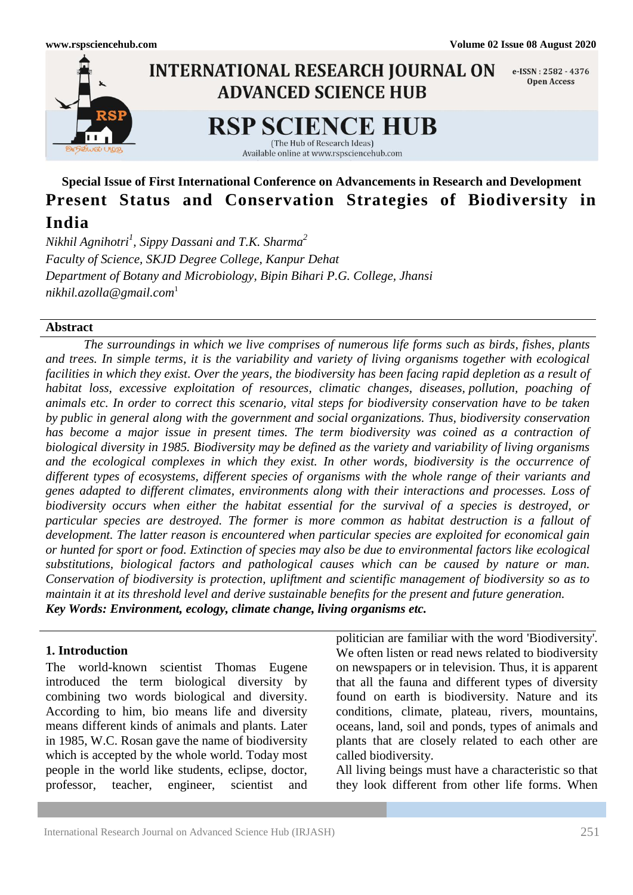

# **Special Issue of First International Conference on Advancements in Research and Development Present Status and Conservation Strategies of Biodiversity in India**

*Nikhil Agnihotri<sup>1</sup> , Sippy Dassani and T.K. Sharma<sup>2</sup> Faculty of Science, SKJD Degree College, Kanpur Dehat Department of Botany and Microbiology, Bipin Bihari P.G. College, Jhansi [nikhil.azolla@gmail.com](mailto:nikhil.azolla@gmail.com)*<sup>1</sup>

#### **Abstract**

*The surroundings in which we live comprises of numerous life forms such as birds, fishes, plants and trees. In simple terms, it is the variability and variety of living organisms together with ecological facilities in which they exist. Over the years, the biodiversity has been facing rapid depletion as a result of habitat loss, excessive exploitation of resources, climatic changes, diseases, [pollution,](https://www.toppr.com/guides/essays/essay-on-environmental-pollution/) poaching of animals etc. In order to correct this scenario, vital steps for biodiversity conservation have to be taken by public in general along with the [government](https://www.toppr.com/guides/civics/what-is-government/meaning-of-government/) and social [organizations.](https://www.toppr.com/guides/business-management-entrepreneurship/organizing/structure-of-organization/) Thus, biodiversity conservation has become a major issue in present times. The term biodiversity was coined as a contraction of biological diversity in 1985. Biodiversity may be defined as the variety and variability of living organisms and the ecological complexes in which they exist. In other words, biodiversity is the occurrence of different types of ecosystems, different species of organisms with the whole range of their variants and genes adapted to different climates, environments along with their interactions and processes. Loss of biodiversity occurs when either the habitat essential for the survival of a species is destroyed, or particular species are destroyed. The former is more common as habitat destruction is a fallout of development. The latter reason is encountered when particular species are exploited for economical gain or hunted for sport or food. Extinction of species may also be due to environmental factors like ecological substitutions, biological factors and pathological causes which can be caused by nature or man. Conservation of biodiversity is protection, upliftment and scientific management of biodiversity so as to maintain it at its threshold level and derive sustainable benefits for the present and future generation. Key Words: Environment, ecology, climate change, living organisms etc.*

### **1. Introduction**

The world-known scientist Thomas Eugene introduced the term biological diversity by combining two words biological and diversity. According to him, bio means life and diversity means different kinds of animals and plants. Later in 1985, W.C. Rosan gave the name of biodiversity which is accepted by the whole world. Today most people in the world like students, eclipse, doctor, professor, teacher, engineer, scientist and

politician are familiar with the word 'Biodiversity'. We often listen or read news related to biodiversity on newspapers or in television. Thus, it is apparent that all the fauna and different types of diversity found on earth is biodiversity. Nature and its conditions, climate, plateau, rivers, mountains, oceans, land, soil and ponds, types of animals and plants that are closely related to each other are called biodiversity.

All living beings must have a characteristic so that they look different from other life forms. When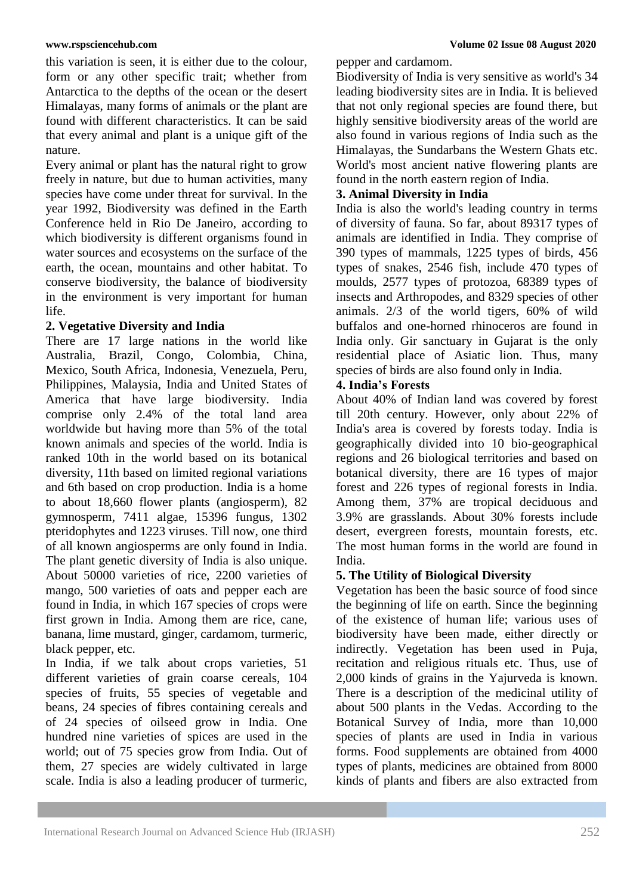this variation is seen, it is either due to the colour, form or any other specific trait; whether from Antarctica to the depths of the ocean or the desert Himalayas, many forms of animals or the plant are found with different characteristics. It can be said that every animal and plant is a unique gift of the nature.

Every animal or plant has the natural right to grow freely in nature, but due to human activities, many species have come under threat for survival. In the year 1992, Biodiversity was defined in the Earth Conference held in Rio De Janeiro, according to which biodiversity is different organisms found in water sources and ecosystems on the surface of the earth, the ocean, mountains and other habitat. To conserve biodiversity, the balance of biodiversity in the environment is very important for human life.

### **2. Vegetative Diversity and India**

There are 17 large nations in the world like Australia, Brazil, Congo, Colombia, China, Mexico, South Africa, Indonesia, Venezuela, Peru, Philippines, Malaysia, India and United States of America that have large biodiversity. India comprise only 2.4% of the total land area worldwide but having more than 5% of the total known animals and species of the world. India is ranked 10th in the world based on its botanical diversity, 11th based on limited regional variations and 6th based on crop production. India is a home to about 18,660 flower plants (angiosperm), 82 gymnosperm, 7411 algae, 15396 fungus, 1302 pteridophytes and 1223 viruses. Till now, one third of all known angiosperms are only found in India. The plant genetic diversity of India is also unique. About 50000 varieties of rice, 2200 varieties of mango, 500 varieties of oats and pepper each are found in India, in which 167 species of crops were first grown in India. Among them are rice, cane, banana, lime mustard, ginger, cardamom, turmeric, black pepper, etc.

In India, if we talk about crops varieties, 51 different varieties of grain coarse cereals, 104 species of fruits, 55 species of vegetable and beans, 24 species of fibres containing cereals and of 24 species of oilseed grow in India. One hundred nine varieties of spices are used in the world; out of 75 species grow from India. Out of them, 27 species are widely cultivated in large scale. India is also a leading producer of turmeric,

pepper and cardamom.

Biodiversity of India is very sensitive as world's 34 leading biodiversity sites are in India. It is believed that not only regional species are found there, but highly sensitive biodiversity areas of the world are also found in various regions of India such as the Himalayas, the Sundarbans the Western Ghats etc. World's most ancient native flowering plants are found in the north eastern region of India.

### **3. Animal Diversity in India**

India is also the world's leading country in terms of diversity of fauna. So far, about 89317 types of animals are identified in India. They comprise of 390 types of mammals, 1225 types of birds, 456 types of snakes, 2546 fish, include 470 types of moulds, 2577 types of protozoa, 68389 types of insects and Arthropodes, and 8329 species of other animals. 2/3 of the world tigers, 60% of wild buffalos and one-horned rhinoceros are found in India only. Gir sanctuary in Gujarat is the only residential place of Asiatic lion. Thus, many species of birds are also found only in India.

# **4. India's Forests**

About 40% of Indian land was covered by forest till 20th century. However, only about 22% of India's area is covered by forests today. India is geographically divided into 10 bio-geographical regions and 26 biological territories and based on botanical diversity, there are 16 types of major forest and 226 types of regional forests in India. Among them, 37% are tropical deciduous and 3.9% are grasslands. About 30% forests include desert, evergreen forests, mountain forests, etc. The most human forms in the world are found in India.

# **5. The Utility of Biological Diversity**

Vegetation has been the basic source of food since the beginning of life on earth. Since the beginning of the existence of human life; various uses of biodiversity have been made, either directly or indirectly. Vegetation has been used in Puja, recitation and religious rituals etc. Thus, use of 2,000 kinds of grains in the Yajurveda is known. There is a description of the medicinal utility of about 500 plants in the Vedas. According to the Botanical Survey of India, more than 10,000 species of plants are used in India in various forms. Food supplements are obtained from 4000 types of plants, medicines are obtained from 8000 kinds of plants and fibers are also extracted from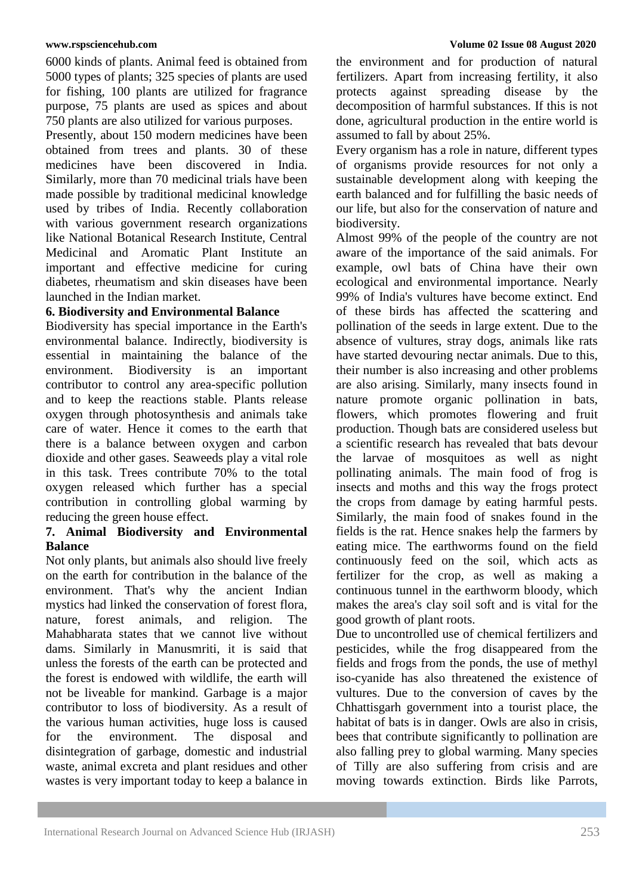6000 kinds of plants. Animal feed is obtained from 5000 types of plants; 325 species of plants are used for fishing, 100 plants are utilized for fragrance purpose, 75 plants are used as spices and about 750 plants are also utilized for various purposes.

Presently, about 150 modern medicines have been obtained from trees and plants. 30 of these medicines have been discovered in India. Similarly, more than 70 medicinal trials have been made possible by traditional medicinal knowledge used by tribes of India. Recently collaboration with various government research organizations like National Botanical Research Institute, Central Medicinal and Aromatic Plant Institute an important and effective medicine for curing diabetes, rheumatism and skin diseases have been launched in the Indian market.

# **6. Biodiversity and Environmental Balance**

Biodiversity has special importance in the Earth's environmental balance. Indirectly, biodiversity is essential in maintaining the balance of the environment. Biodiversity is an important contributor to control any area-specific pollution and to keep the reactions stable. Plants release oxygen through photosynthesis and animals take care of water. Hence it comes to the earth that there is a balance between oxygen and carbon dioxide and other gases. Seaweeds play a vital role in this task. Trees contribute 70% to the total oxygen released which further has a special contribution in controlling global warming by reducing the green house effect.

# **7. Animal Biodiversity and Environmental Balance**

Not only plants, but animals also should live freely on the earth for contribution in the balance of the environment. That's why the ancient Indian mystics had linked the conservation of forest flora, nature, forest animals, and religion. The Mahabharata states that we cannot live without dams. Similarly in Manusmriti, it is said that unless the forests of the earth can be protected and the forest is endowed with wildlife, the earth will not be liveable for mankind. Garbage is a major contributor to loss of biodiversity. As a result of the various human activities, huge loss is caused for the environment. The disposal and disintegration of garbage, domestic and industrial waste, animal excreta and plant residues and other wastes is very important today to keep a balance in the environment and for production of natural fertilizers. Apart from increasing fertility, it also protects against spreading disease by the decomposition of harmful substances. If this is not done, agricultural production in the entire world is assumed to fall by about 25%.

Every organism has a role in nature, different types of organisms provide resources for not only a sustainable development along with keeping the earth balanced and for fulfilling the basic needs of our life, but also for the conservation of nature and biodiversity.

Almost 99% of the people of the country are not aware of the importance of the said animals. For example, owl bats of China have their own ecological and environmental importance. Nearly 99% of India's vultures have become extinct. End of these birds has affected the scattering and pollination of the seeds in large extent. Due to the absence of vultures, stray dogs, animals like rats have started devouring nectar animals. Due to this, their number is also increasing and other problems are also arising. Similarly, many insects found in nature promote organic pollination in bats, flowers, which promotes flowering and fruit production. Though bats are considered useless but a scientific research has revealed that bats devour the larvae of mosquitoes as well as night pollinating animals. The main food of frog is insects and moths and this way the frogs protect the crops from damage by eating harmful pests. Similarly, the main food of snakes found in the fields is the rat. Hence snakes help the farmers by eating mice. The earthworms found on the field continuously feed on the soil, which acts as fertilizer for the crop, as well as making a continuous tunnel in the earthworm bloody, which makes the area's clay soil soft and is vital for the good growth of plant roots.

Due to uncontrolled use of chemical fertilizers and pesticides, while the frog disappeared from the fields and frogs from the ponds, the use of methyl iso-cyanide has also threatened the existence of vultures. Due to the conversion of caves by the Chhattisgarh government into a tourist place, the habitat of bats is in danger. Owls are also in crisis, bees that contribute significantly to pollination are also falling prey to global warming. Many species of Tilly are also suffering from crisis and are moving towards extinction. Birds like Parrots,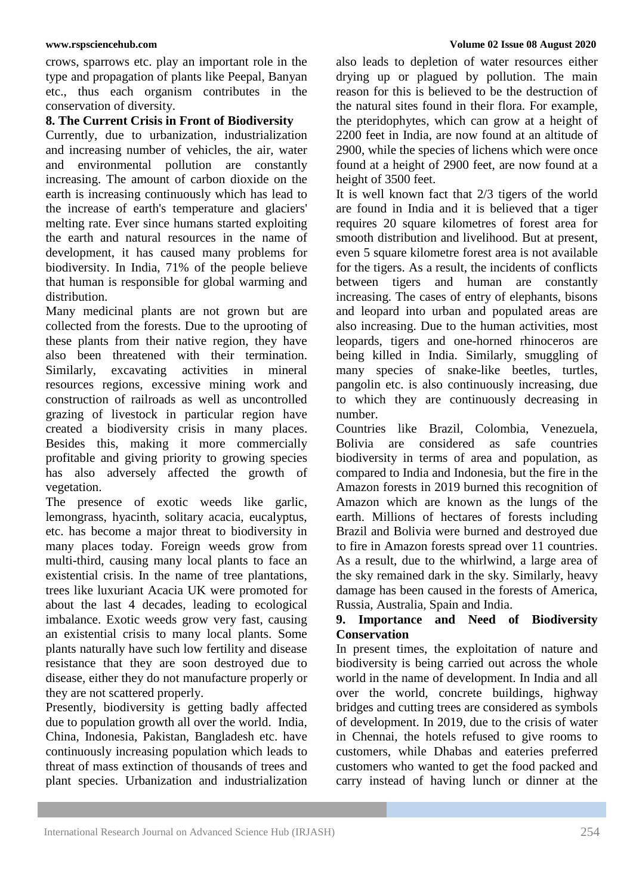crows, sparrows etc. play an important role in the type and propagation of plants like Peepal, Banyan etc., thus each organism contributes in the conservation of diversity.

#### **8. The Current Crisis in Front of Biodiversity**

Currently, due to urbanization, industrialization and increasing number of vehicles, the air, water and environmental pollution are constantly increasing. The amount of carbon dioxide on the earth is increasing continuously which has lead to the increase of earth's temperature and glaciers' melting rate. Ever since humans started exploiting the earth and natural resources in the name of development, it has caused many problems for biodiversity. In India, 71% of the people believe that human is responsible for global warming and distribution.

Many medicinal plants are not grown but are collected from the forests. Due to the uprooting of these plants from their native region, they have also been threatened with their termination. Similarly, excavating activities in mineral resources regions, excessive mining work and construction of railroads as well as uncontrolled grazing of livestock in particular region have created a biodiversity crisis in many places. Besides this, making it more commercially profitable and giving priority to growing species has also adversely affected the growth of vegetation.

The presence of exotic weeds like garlic, lemongrass, hyacinth, solitary acacia, eucalyptus, etc. has become a major threat to biodiversity in many places today. Foreign weeds grow from multi-third, causing many local plants to face an existential crisis. In the name of tree plantations, trees like luxuriant Acacia UK were promoted for about the last 4 decades, leading to ecological imbalance. Exotic weeds grow very fast, causing an existential crisis to many local plants. Some plants naturally have such low fertility and disease resistance that they are soon destroyed due to disease, either they do not manufacture properly or they are not scattered properly.

Presently, biodiversity is getting badly affected due to population growth all over the world. India, China, Indonesia, Pakistan, Bangladesh etc. have continuously increasing population which leads to threat of mass extinction of thousands of trees and plant species. Urbanization and industrialization

also leads to depletion of water resources either drying up or plagued by pollution. The main reason for this is believed to be the destruction of the natural sites found in their flora. For example, the pteridophytes, which can grow at a height of 2200 feet in India, are now found at an altitude of 2900, while the species of lichens which were once found at a height of 2900 feet, are now found at a height of 3500 feet.

It is well known fact that 2/3 tigers of the world are found in India and it is believed that a tiger requires 20 square kilometres of forest area for smooth distribution and livelihood. But at present, even 5 square kilometre forest area is not available for the tigers. As a result, the incidents of conflicts between tigers and human are constantly increasing. The cases of entry of elephants, bisons and leopard into urban and populated areas are also increasing. Due to the human activities, most leopards, tigers and one-horned rhinoceros are being killed in India. Similarly, smuggling of many species of snake-like beetles, turtles, pangolin etc. is also continuously increasing, due to which they are continuously decreasing in number.

Countries like Brazil, Colombia, Venezuela, Bolivia are considered as safe countries biodiversity in terms of area and population, as compared to India and Indonesia, but the fire in the Amazon forests in 2019 burned this recognition of Amazon which are known as the lungs of the earth. Millions of hectares of forests including Brazil and Bolivia were burned and destroyed due to fire in Amazon forests spread over 11 countries. As a result, due to the whirlwind, a large area of the sky remained dark in the sky. Similarly, heavy damage has been caused in the forests of America, Russia, Australia, Spain and India.

# **9. Importance and Need of Biodiversity Conservation**

In present times, the exploitation of nature and biodiversity is being carried out across the whole world in the name of development. In India and all over the world, concrete buildings, highway bridges and cutting trees are considered as symbols of development. In 2019, due to the crisis of water in Chennai, the hotels refused to give rooms to customers, while Dhabas and eateries preferred customers who wanted to get the food packed and carry instead of having lunch or dinner at the